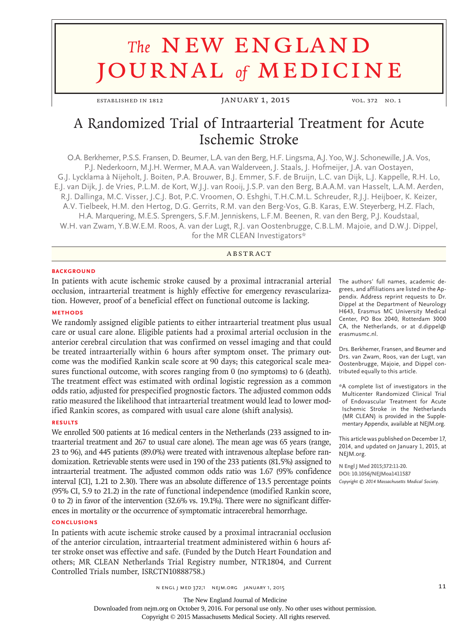# **The NEW ENGLAND** journal *of* medicine

established in 1812 **JANUARY 1, 2015** vol. 372 no. 1

# A Randomized Trial of Intraarterial Treatment for Acute Ischemic Stroke

O.A. Berkhemer, P.S.S. Fransen, D. Beumer, L.A. van den Berg, H.F. Lingsma, A.J. Yoo, W.J. Schonewille, J.A. Vos, P.J. Nederkoorn, M.J.H. Wermer, M.A.A. van Walderveen, J. Staals, J. Hofmeijer, J.A. van Oostayen, G.J. Lycklama à Nijeholt, J. Boiten, P.A. Brouwer, B.J. Emmer, S.F. de Bruijn, L.C. van Dijk, L.J. Kappelle, R.H. Lo, E.J. van Dijk, J. de Vries, P.L.M. de Kort, W.J.J. van Rooij, J.S.P. van den Berg, B.A.A.M. van Hasselt, L.A.M. Aerden, R.J. Dallinga, M.C. Visser, J.C.J. Bot, P.C. Vroomen, O. Eshghi, T.H.C.M.L. Schreuder, R.J.J. Heijboer, K. Keizer, A.V. Tielbeek, H.M. den Hertog, D.G. Gerrits, R.M. van den Berg-Vos, G.B. Karas, E.W. Steyerberg, H.Z. Flach, H.A. Marquering, M.E.S. Sprengers, S.F.M. Jenniskens, L.F.M. Beenen, R. van den Berg, P.J. Koudstaal, W.H. van Zwam, Y.B.W.E.M. Roos, A. van der Lugt, R.J. van Oostenbrugge, C.B.L.M. Majoie, and D.W.J. Dippel, for the MR CLEAN Investigators\*

# ABSTRACT

#### **BACKGROUND**

In patients with acute ischemic stroke caused by a proximal intracranial arterial occlusion, intraarterial treatment is highly effective for emergency revascularization. However, proof of a beneficial effect on functional outcome is lacking.

# **Methods**

We randomly assigned eligible patients to either intraarterial treatment plus usual care or usual care alone. Eligible patients had a proximal arterial occlusion in the anterior cerebral circulation that was confirmed on vessel imaging and that could be treated intraarterially within 6 hours after symptom onset. The primary outcome was the modified Rankin scale score at 90 days; this categorical scale measures functional outcome, with scores ranging from 0 (no symptoms) to 6 (death). The treatment effect was estimated with ordinal logistic regression as a common odds ratio, adjusted for prespecified prognostic factors. The adjusted common odds ratio measured the likelihood that intraarterial treatment would lead to lower modified Rankin scores, as compared with usual care alone (shift analysis).

#### **Results**

We enrolled 500 patients at 16 medical centers in the Netherlands (233 assigned to intraarterial treatment and 267 to usual care alone). The mean age was 65 years (range, 23 to 96), and 445 patients (89.0%) were treated with intravenous alteplase before randomization. Retrievable stents were used in 190 of the 233 patients (81.5%) assigned to intraarterial treatment. The adjusted common odds ratio was 1.67 (95% confidence interval [CI], 1.21 to 2.30). There was an absolute difference of 13.5 percentage points (95% CI, 5.9 to 21.2) in the rate of functional independence (modified Rankin score, 0 to 2) in favor of the intervention (32.6% vs. 19.1%). There were no significant differences in mortality or the occurrence of symptomatic intracerebral hemorrhage.

# **Conclusions**

In patients with acute ischemic stroke caused by a proximal intracranial occlusion of the anterior circulation, intraarterial treatment administered within 6 hours after stroke onset was effective and safe. (Funded by the Dutch Heart Foundation and others; MR CLEAN Netherlands Trial Registry number, NTR1804, and Current Controlled Trials number, ISRCTN10888758.)

The authors' full names, academic degrees, and affiliations are listed in the Appendix. Address reprint requests to Dr. Dippel at the Department of Neurology H643, Erasmus MC University Medical Center, PO Box 2040, Rotterdam 3000 CA, the Netherlands, or at d.dippel@ erasmusmc.nl.

Drs. Berkhemer, Fransen, and Beumer and Drs. van Zwam, Roos, van der Lugt, van Oostenbrugge, Majoie, and Dippel contributed equally to this article.

\*A complete list of investigators in the Multicenter Randomized Clinical Trial of Endovascular Treatment for Acute Ischemic Stroke in the Netherlands (MR CLEAN) is provided in the Supplementary Appendix, available at NEJM.org.

This article was published on December 17, 2014, and updated on January 1, 2015, at NEJM.org.

**N Engl J Med 2015;372:11-20. DOI: 10.1056/NEJMoa1411587** *Copyright © 2014 Massachusetts Medical Society.*

n ENGL JMED 372;1 NEJM.ORG JANUARY 1, 2015 11

Downloaded from nejm.org on October 9, 2016. For personal use only. No other uses without permission.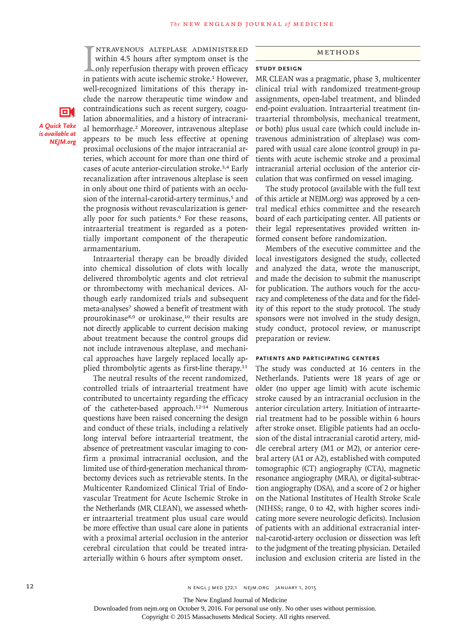$\prod_{\text{in } p}$ ntravenous alteplase administered within 4.5 hours after symptom onset is the only reperfusion therapy with proven efficacy in patients with acute ischemic stroke.<sup>1</sup> However, well-recognized limitations of this therapy include the narrow therapeutic time window and contraindications such as recent surgery, coagulation abnormalities, and a history of intracranial hemorrhage.2 Moreover, intravenous alteplase appears to be much less effective at opening proximal occlusions of the major intracranial arteries, which account for more than one third of cases of acute anterior-circulation stroke.3,4 Early recanalization after intravenous alteplase is seen in only about one third of patients with an occlusion of the internal-carotid-artery terminus,<sup>5</sup> and the prognosis without revascularization is generally poor for such patients.<sup>6</sup> For these reasons, intraarterial treatment is regarded as a potentially important component of the therapeutic armamentarium.

Intraarterial therapy can be broadly divided into chemical dissolution of clots with locally delivered thrombolytic agents and clot retrieval or thrombectomy with mechanical devices. Although early randomized trials and subsequent meta-analyses<sup>7</sup> showed a benefit of treatment with prourokinase<sup>8,9</sup> or urokinase,<sup>10</sup> their results are not directly applicable to current decision making about treatment because the control groups did not include intravenous alteplase, and mechanical approaches have largely replaced locally applied thrombolytic agents as first-line therapy.<sup>11</sup>

The neutral results of the recent randomized, controlled trials of intraarterial treatment have contributed to uncertainty regarding the efficacy of the catheter-based approach.12-14 Numerous questions have been raised concerning the design and conduct of these trials, including a relatively long interval before intraarterial treatment, the absence of pretreatment vascular imaging to confirm a proximal intracranial occlusion, and the limited use of third-generation mechanical thrombectomy devices such as retrievable stents. In the Multicenter Randomized Clinical Trial of Endovascular Treatment for Acute Ischemic Stroke in the Netherlands (MR CLEAN), we assessed whether intraarterial treatment plus usual care would be more effective than usual care alone in patients with a proximal arterial occlusion in the anterior cerebral circulation that could be treated intraarterially within 6 hours after symptom onset.

#### Methods

# **Study Design**

MR CLEAN was a pragmatic, phase 3, multicenter clinical trial with randomized treatment-group assignments, open-label treatment, and blinded end-point evaluation. Intraarterial treatment (intraarterial thrombolysis, mechanical treatment, or both) plus usual care (which could include intravenous administration of alteplase) was compared with usual care alone (control group) in patients with acute ischemic stroke and a proximal intracranial arterial occlusion of the anterior circulation that was confirmed on vessel imaging.

The study protocol (available with the full text of this article at NEJM.org) was approved by a central medical ethics committee and the research board of each participating center. All patients or their legal representatives provided written informed consent before randomization.

Members of the executive committee and the local investigators designed the study, collected and analyzed the data, wrote the manuscript, and made the decision to submit the manuscript for publication. The authors vouch for the accuracy and completeness of the data and for the fidelity of this report to the study protocol. The study sponsors were not involved in the study design, study conduct, protocol review, or manuscript preparation or review.

#### **Patients and Participating Centers**

The study was conducted at 16 centers in the Netherlands. Patients were 18 years of age or older (no upper age limit) with acute ischemic stroke caused by an intracranial occlusion in the anterior circulation artery. Initiation of intraarterial treatment had to be possible within 6 hours after stroke onset. Eligible patients had an occlusion of the distal intracranial carotid artery, middle cerebral artery (M1 or M2), or anterior cerebral artery (A1 or A2), established with computed tomographic (CT) angiography (CTA), magnetic resonance angiography (MRA), or digital-subtraction angiography (DSA), and a score of 2 or higher on the National Institutes of Health Stroke Scale (NIHSS; range, 0 to 42, with higher scores indicating more severe neurologic deficits). Inclusion of patients with an additional extracranial internal-carotid-artery occlusion or dissection was left to the judgment of the treating physician. Detailed inclusion and exclusion criteria are listed in the

loľ. *A Quick Take is available at NEJM.org*

The New England Journal of Medicine

Downloaded from nejm.org on October 9, 2016. For personal use only. No other uses without permission.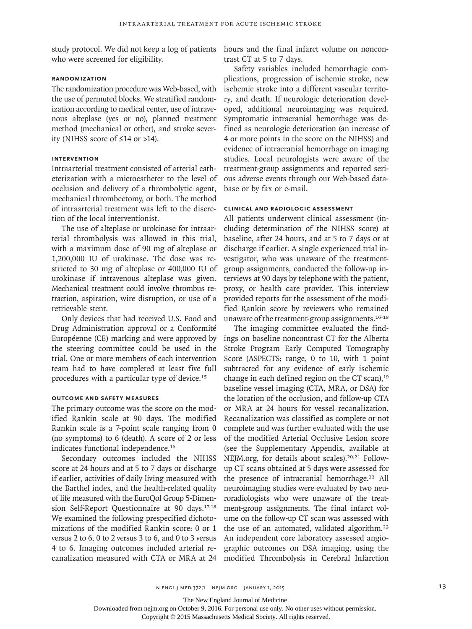study protocol. We did not keep a log of patients who were screened for eligibility.

# **Randomization**

The randomization procedure was Web-based, with the use of permuted blocks. We stratified randomization according to medical center, use of intravenous alteplase (yes or no), planned treatment method (mechanical or other), and stroke severity (NIHSS score of ≤14 or >14).

# **Intervention**

Intraarterial treatment consisted of arterial catheterization with a microcatheter to the level of occlusion and delivery of a thrombolytic agent, mechanical thrombectomy, or both. The method of intraarterial treatment was left to the discretion of the local interventionist.

The use of alteplase or urokinase for intraarterial thrombolysis was allowed in this trial, with a maximum dose of 90 mg of alteplase or 1,200,000 IU of urokinase. The dose was restricted to 30 mg of alteplase or 400,000 IU of urokinase if intravenous alteplase was given. Mechanical treatment could involve thrombus retraction, aspiration, wire disruption, or use of a retrievable stent.

Only devices that had received U.S. Food and Drug Administration approval or a Conformité Européenne (CE) marking and were approved by the steering committee could be used in the trial. One or more members of each intervention team had to have completed at least five full procedures with a particular type of device.<sup>15</sup>

#### **Outcome and Safety Measures**

The primary outcome was the score on the modified Rankin scale at 90 days. The modified Rankin scale is a 7-point scale ranging from 0 (no symptoms) to 6 (death). A score of 2 or less indicates functional independence.<sup>16</sup>

Secondary outcomes included the NIHSS score at 24 hours and at 5 to 7 days or discharge if earlier, activities of daily living measured with the Barthel index, and the health-related quality of life measured with the EuroQol Group 5-Dimension Self-Report Questionnaire at 90 days.<sup>17,18</sup> We examined the following prespecified dichotomizations of the modified Rankin score: 0 or 1 versus 2 to 6, 0 to 2 versus 3 to 6, and 0 to 3 versus 4 to 6. Imaging outcomes included arterial recanalization measured with CTA or MRA at 24

hours and the final infarct volume on noncontrast CT at 5 to 7 days.

Safety variables included hemorrhagic complications, progression of ischemic stroke, new ischemic stroke into a different vascular territory, and death. If neurologic deterioration developed, additional neuroimaging was required. Symptomatic intracranial hemorrhage was defined as neurologic deterioration (an increase of 4 or more points in the score on the NIHSS) and evidence of intracranial hemorrhage on imaging studies. Local neurologists were aware of the treatment-group assignments and reported serious adverse events through our Web-based database or by fax or e-mail.

#### **Clinical and Radiologic Assessment**

All patients underwent clinical assessment (including determination of the NIHSS score) at baseline, after 24 hours, and at 5 to 7 days or at discharge if earlier. A single experienced trial investigator, who was unaware of the treatmentgroup assignments, conducted the follow-up interviews at 90 days by telephone with the patient, proxy, or health care provider. This interview provided reports for the assessment of the modified Rankin score by reviewers who remained unaware of the treatment-group assignments.16-18

The imaging committee evaluated the findings on baseline noncontrast CT for the Alberta Stroke Program Early Computed Tomography Score (ASPECTS; range, 0 to 10, with 1 point subtracted for any evidence of early ischemic change in each defined region on the CT scan),<sup>19</sup> baseline vessel imaging (CTA, MRA, or DSA) for the location of the occlusion, and follow-up CTA or MRA at 24 hours for vessel recanalization. Recanalization was classified as complete or not complete and was further evaluated with the use of the modified Arterial Occlusive Lesion score (see the Supplementary Appendix, available at NEJM.org, for details about scales).<sup>20,21</sup> Followup CT scans obtained at 5 days were assessed for the presence of intracranial hemorrhage.<sup>22</sup> All neuroimaging studies were evaluated by two neuroradiologists who were unaware of the treatment-group assignments. The final infarct volume on the follow-up CT scan was assessed with the use of an automated, validated algorithm.<sup>23</sup> An independent core laboratory assessed angiographic outcomes on DSA imaging, using the modified Thrombolysis in Cerebral Infarction

The New England Journal of Medicine

Downloaded from nejm.org on October 9, 2016. For personal use only. No other uses without permission.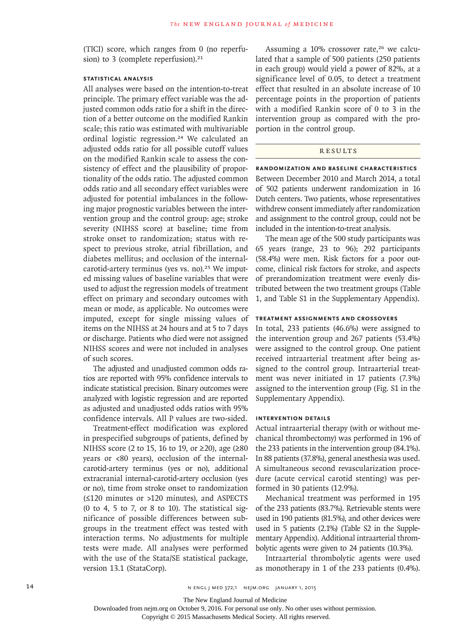(TICI) score, which ranges from 0 (no reperfusion) to 3 (complete reperfusion). $21$ 

# **Statistical Analysis**

All analyses were based on the intention-to-treat principle. The primary effect variable was the adjusted common odds ratio for a shift in the direction of a better outcome on the modified Rankin scale; this ratio was estimated with multivariable ordinal logistic regression.<sup>24</sup> We calculated an adjusted odds ratio for all possible cutoff values on the modified Rankin scale to assess the consistency of effect and the plausibility of proportionality of the odds ratio. The adjusted common odds ratio and all secondary effect variables were adjusted for potential imbalances in the following major prognostic variables between the intervention group and the control group: age; stroke severity (NIHSS score) at baseline; time from stroke onset to randomization; status with respect to previous stroke, atrial fibrillation, and diabetes mellitus; and occlusion of the internalcarotid-artery terminus (yes vs. no).<sup>25</sup> We imputed missing values of baseline variables that were used to adjust the regression models of treatment effect on primary and secondary outcomes with mean or mode, as applicable. No outcomes were imputed, except for single missing values of items on the NIHSS at 24 hours and at 5 to 7 days or discharge. Patients who died were not assigned NIHSS scores and were not included in analyses of such scores.

The adjusted and unadjusted common odds ratios are reported with 95% confidence intervals to indicate statistical precision. Binary outcomes were analyzed with logistic regression and are reported as adjusted and unadjusted odds ratios with 95% confidence intervals. All P values are two-sided.

Treatment-effect modification was explored in prespecified subgroups of patients, defined by NIHSS score (2 to 15, 16 to 19, or  $\geq$ 20), age ( $\geq$ 80 years or <80 years), occlusion of the internalcarotid-artery terminus (yes or no), additional extracranial internal-carotid-artery occlusion (yes or no), time from stroke onset to randomization (≤120 minutes or >120 minutes), and ASPECTS (0 to 4, 5 to 7, or 8 to 10). The statistical significance of possible differences between subgroups in the treatment effect was tested with interaction terms. No adjustments for multiple tests were made. All analyses were performed with the use of the Stata/SE statistical package, version 13.1 (StataCorp).

Assuming a 10% crossover rate,<sup>26</sup> we calculated that a sample of 500 patients (250 patients in each group) would yield a power of 82%, at a significance level of 0.05, to detect a treatment effect that resulted in an absolute increase of 10 percentage points in the proportion of patients with a modified Rankin score of 0 to 3 in the intervention group as compared with the proportion in the control group.

### **RESULTS**

**Randomization and Baseline Characteristics** Between December 2010 and March 2014, a total of 502 patients underwent randomization in 16 Dutch centers. Two patients, whose representatives withdrew consent immediately after randomization and assignment to the control group, could not be included in the intention-to-treat analysis.

The mean age of the 500 study participants was 65 years (range, 23 to 96); 292 participants (58.4%) were men. Risk factors for a poor outcome, clinical risk factors for stroke, and aspects of prerandomization treatment were evenly distributed between the two treatment groups (Table 1, and Table S1 in the Supplementary Appendix).

### **Treatment Assignments and Crossovers**

In total, 233 patients (46.6%) were assigned to the intervention group and 267 patients (53.4%) were assigned to the control group. One patient received intraarterial treatment after being assigned to the control group. Intraarterial treatment was never initiated in 17 patients (7.3%) assigned to the intervention group (Fig. S1 in the Supplementary Appendix).

#### **Intervention Details**

Actual intraarterial therapy (with or without mechanical thrombectomy) was performed in 196 of the 233 patients in the intervention group (84.1%). In 88 patients (37.8%), general anesthesia was used. A simultaneous second revascularization procedure (acute cervical carotid stenting) was performed in 30 patients (12.9%).

Mechanical treatment was performed in 195 of the 233 patients (83.7%). Retrievable stents were used in 190 patients (81.5%), and other devices were used in 5 patients (2.1%) (Table S2 in the Supplementary Appendix). Additional intraarterial thrombolytic agents were given to 24 patients (10.3%).

Intraarterial thrombolytic agents were used as monotherapy in 1 of the 233 patients (0.4%).

Downloaded from nejm.org on October 9, 2016. For personal use only. No other uses without permission.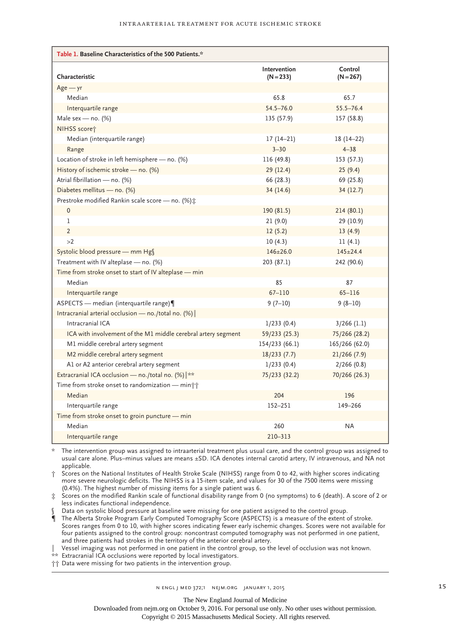| Table 1. Baseline Characteristics of the 500 Patients.*       |                             |                        |
|---------------------------------------------------------------|-----------------------------|------------------------|
| Characteristic                                                | Intervention<br>$(N = 233)$ | Control<br>$(N = 267)$ |
| $Age - yr$                                                    |                             |                        |
| Median                                                        | 65.8                        | 65.7                   |
| Interquartile range                                           | $54.5 - 76.0$               | $55.5 - 76.4$          |
| Male sex - no. $(%)$                                          | 135 (57.9)                  | 157 (58.8)             |
| NIHSS score†                                                  |                             |                        |
| Median (interquartile range)                                  | $17(14-21)$                 | $18(14-22)$            |
| Range                                                         | $3 - 30$                    | $4 - 38$               |
| Location of stroke in left hemisphere $-$ no. (%)             | 116 (49.8)                  | 153 (57.3)             |
| History of ischemic stroke $-$ no. (%)                        | 29 (12.4)                   | 25(9.4)                |
| Atrial fibrillation - no. (%)                                 | 66 (28.3)                   | 69 (25.8)              |
| Diabetes mellitus - no. (%)                                   | 34 (14.6)                   | 34 (12.7)              |
| Prestroke modified Rankin scale score - no. (%) :             |                             |                        |
| 0                                                             | 190 (81.5)                  | 214(80.1)              |
| $\mathbf{1}$                                                  | 21(9.0)                     | 29 (10.9)              |
| $\overline{2}$                                                | 12(5.2)                     | 13(4.9)                |
| >2                                                            | 10(4.3)                     | 11(4.1)                |
| Systolic blood pressure - mm Hg                               | $146 \pm 26.0$              | $145 \pm 24.4$         |
| Treatment with IV alteplase - no. (%)                         | 203 (87.1)                  | 242 (90.6)             |
| Time from stroke onset to start of IV alteplase - min         |                             |                        |
| Median                                                        | 85                          | 87                     |
| Interquartile range                                           | $67 - 110$                  | $65 - 116$             |
| ASPECTS - median (interquartile range)                        | $9(7-10)$                   | $9(8-10)$              |
| Intracranial arterial occlusion - no./total no. (%)           |                             |                        |
| Intracranial ICA                                              | 1/233(0.4)                  | $3/266$ (1.1)          |
| ICA with involvement of the M1 middle cerebral artery segment | 59/233 (25.3)               | 75/266 (28.2)          |
| M1 middle cerebral artery segment                             | 154/233 (66.1)              | 165/266 (62.0)         |
| M2 middle cerebral artery segment                             | 18/233(7.7)                 | 21/266(7.9)            |
| A1 or A2 anterior cerebral artery segment                     | 1/233(0.4)                  | 2/266(0.8)             |
| Extracranial ICA occlusion - no./total no. (%)  **            | 75/233 (32.2)               | 70/266 (26.3)          |
| Time from stroke onset to randomization — min††               |                             |                        |
| Median                                                        | 204                         | 196                    |
| Interquartile range                                           | $152 - 251$                 | 149-266                |
| Time from stroke onset to groin puncture - min                |                             |                        |
| Median                                                        | 260                         | <b>NA</b>              |
| Interquartile range                                           | 210-313                     |                        |

\* The intervention group was assigned to intraarterial treatment plus usual care, and the control group was assigned to usual care alone. Plus–minus values are means ±SD. ICA denotes internal carotid artery, IV intravenous, and NA not applicable.

† Scores on the National Institutes of Health Stroke Scale (NIHSS) range from 0 to 42, with higher scores indicating more severe neurologic deficits. The NIHSS is a 15-item scale, and values for 30 of the 7500 items were missing (0.4%). The highest number of missing items for a single patient was 6.

‡ Scores on the modified Rankin scale of functional disability range from 0 (no symptoms) to 6 (death). A score of 2 or less indicates functional independence.

Data on systolic blood pressure at baseline were missing for one patient assigned to the control group.

¶ The Alberta Stroke Program Early Computed Tomography Score (ASPECTS) is a measure of the extent of stroke. Scores ranges from 0 to 10, with higher scores indicating fewer early ischemic changes. Scores were not available for four patients assigned to the control group: noncontrast computed tomography was not performed in one patient, and three patients had strokes in the territory of the anterior cerebral artery.

‖ Vessel imaging was not performed in one patient in the control group, so the level of occlusion was not known.

\*\* Extracranial ICA occlusions were reported by local investigators.

†† Data were missing for two patients in the intervention group.

The New England Journal of Medicine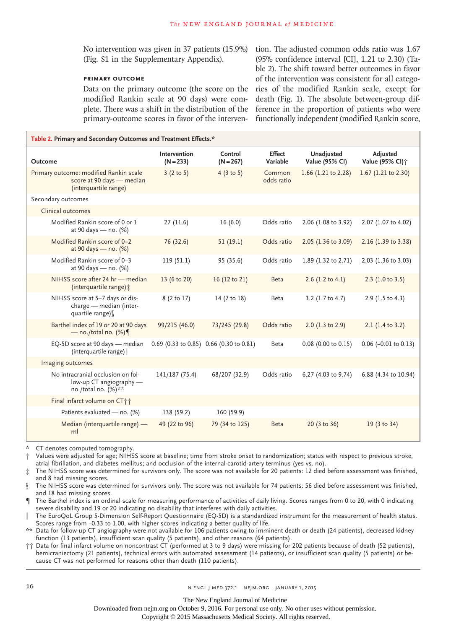No intervention was given in 37 patients (15.9%) (Fig. S1 in the Supplementary Appendix).

# **Primary Outcome**

modified Rankin scale at 90 days) were complete. There was a shift in the distribution of the

Data on the primary outcome (the score on the ries of the modified Rankin scale, except for primary-outcome scores in favor of the interven-functionally independent (modified Rankin score, tion. The adjusted common odds ratio was 1.67 (95% confidence interval [CI], 1.21 to 2.30) (Table 2). The shift toward better outcomes in favor of the intervention was consistent for all categodeath (Fig. 1). The absolute between-group difference in the proportion of patients who were

| Table 2. Primary and Secondary Outcomes and Treatment Effects.*                              |                             |                                         |                      |                                     |                              |  |  |
|----------------------------------------------------------------------------------------------|-----------------------------|-----------------------------------------|----------------------|-------------------------------------|------------------------------|--|--|
| Outcome                                                                                      | Intervention<br>$(N = 233)$ | Control<br>$(N = 267)$                  | Effect<br>Variable   | Unadjusted<br><b>Value (95% CI)</b> | Adjusted<br>Value (95% CI) ; |  |  |
| Primary outcome: modified Rankin scale<br>score at 90 days - median<br>(interquartile range) | 3(2 to 5)                   | 4(3 to 5)                               | Common<br>odds ratio | 1.66 (1.21 to 2.28)                 | 1.67 (1.21 to 2.30)          |  |  |
| Secondary outcomes                                                                           |                             |                                         |                      |                                     |                              |  |  |
| Clinical outcomes                                                                            |                             |                                         |                      |                                     |                              |  |  |
| Modified Rankin score of 0 or 1<br>at 90 days - no. (%)                                      | 27(11.6)                    | 16(6.0)                                 | Odds ratio           | 2.06 (1.08 to 3.92)                 | 2.07 (1.07 to 4.02)          |  |  |
| Modified Rankin score of 0-2<br>at 90 days - no. (%)                                         | 76 (32.6)                   | 51(19.1)                                | Odds ratio           | 2.05 (1.36 to 3.09)                 | 2.16 (1.39 to 3.38)          |  |  |
| Modified Rankin score of 0-3<br>at 90 days - no. (%)                                         | 119(51.1)                   | 95 (35.6)                               | Odds ratio           | 1.89 (1.32 to 2.71)                 | 2.03 (1.36 to 3.03)          |  |  |
| NIHSS score after 24 hr - median<br>(interquartile range) ±                                  | 13 (6 to 20)                | 16 (12 to 21)                           | <b>Beta</b>          | $2.6$ (1.2 to 4.1)                  | $2.3$ (1.0 to 3.5)           |  |  |
| NIHSS score at 5-7 days or dis-<br>charge - median (inter-<br>quartile range) (              | 8 (2 to 17)                 | 14 (7 to 18)                            | Beta                 | 3.2 (1.7 to 4.7)                    | 2.9 (1.5 to 4.3)             |  |  |
| Barthel index of 19 or 20 at 90 days<br>$-$ no./total no. (%)                                | 99/215 (46.0)               | 73/245 (29.8)                           | Odds ratio           | $2.0$ (1.3 to 2.9)                  | $2.1$ (1.4 to 3.2)           |  |  |
| EQ-5D score at 90 days - median<br>(interquartile range)                                     |                             | 0.69 (0.33 to 0.85) 0.66 (0.30 to 0.81) | <b>Beta</b>          | 0.08 (0.00 to 0.15)                 | $0.06$ (-0.01 to 0.13)       |  |  |
| Imaging outcomes                                                                             |                             |                                         |                      |                                     |                              |  |  |
| No intracranial occlusion on fol-<br>low-up CT angiography -<br>no./total no. (%)**          | 141/187(75.4)               | 68/207 (32.9)                           | Odds ratio           | 6.27 (4.03 to 9.74)                 | 6.88 (4.34 to 10.94)         |  |  |
| Final infarct volume on CT++                                                                 |                             |                                         |                      |                                     |                              |  |  |
| Patients evaluated - no. (%)                                                                 | 138 (59.2)                  | 160 (59.9)                              |                      |                                     |                              |  |  |
| Median (interquartile range) -<br>ml                                                         | 49 (22 to 96)               | 79 (34 to 125)                          | <b>Beta</b>          | 20 (3 to 36)                        | 19 (3 to 34)                 |  |  |

CT denotes computed tomography.

† Values were adjusted for age; NIHSS score at baseline; time from stroke onset to randomization; status with respect to previous stroke,

atrial fibrillation, and diabetes mellitus; and occlusion of the internal-carotid-artery terminus (yes vs. no).

‡ The NIHSS score was determined for survivors only. The score was not available for 20 patients: 12 died before assessment was finished, and 8 had missing scores.

The NIHSS score was determined for survivors only. The score was not available for 74 patients: 56 died before assessment was finished, and 18 had missing scores.

The Barthel index is an ordinal scale for measuring performance of activities of daily living. Scores ranges from 0 to 20, with 0 indicating severe disability and 19 or 20 indicating no disability that interferes with daily activities.

The EuroQoL Group 5-Dimension Self-Report Questionnaire (EQ-5D) is a standardized instrument for the measurement of health status. Scores range from −0.33 to 1.00, with higher scores indicating a better quality of life.

Data for follow-up CT angiography were not available for 106 patients owing to imminent death or death (24 patients), decreased kidney function (13 patients), insufficient scan quality (5 patients), and other reasons (64 patients).

†† Data for final infarct volume on noncontrast CT (performed at 3 to 9 days) were missing for 202 patients because of death (52 patients), hemicraniectomy (21 patients), technical errors with automated assessment (14 patients), or insufficient scan quality (5 patients) or because CT was not performed for reasons other than death (110 patients).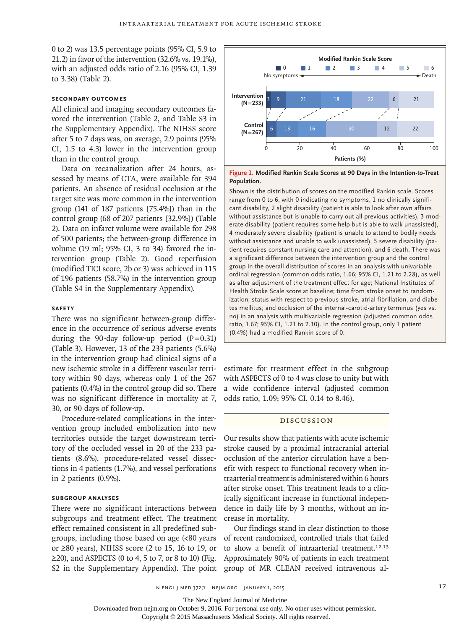0 to 2) was 13.5 percentage points (95% CI, 5.9 to 21.2) in favor of the intervention (32.6% vs. 19.1%), with an adjusted odds ratio of 2.16 (95% CI, 1.39 to 3.38) (Table 2).

# **Secondary Outcomes**

All clinical and imaging secondary outcomes favored the intervention (Table 2, and Table S3 in the Supplementary Appendix). The NIHSS score after 5 to 7 days was, on average, 2.9 points (95% CI, 1.5 to 4.3) lower in the intervention group than in the control group.

Data on recanalization after 24 hours, assessed by means of CTA, were available for 394 patients. An absence of residual occlusion at the target site was more common in the intervention group (141 of 187 patients [75.4%]) than in the control group (68 of 207 patients [32.9%]) (Table 2). Data on infarct volume were available for 298 of 500 patients; the between-group difference in volume (19 ml; 95% CI, 3 to 34) favored the intervention group (Table 2). Good reperfusion (modified TICI score, 2b or 3) was achieved in 115 of 196 patients (58.7%) in the intervention group (Table S4 in the Supplementary Appendix).

# **Safety**

There was no significant between-group difference in the occurrence of serious adverse events during the 90-day follow-up period  $(P=0.31)$ (Table 3). However, 13 of the 233 patients (5.6%) in the intervention group had clinical signs of a new ischemic stroke in a different vascular territory within 90 days, whereas only 1 of the 267 patients (0.4%) in the control group did so. There was no significant difference in mortality at 7, 30, or 90 days of follow-up.

Procedure-related complications in the intervention group included embolization into new territories outside the target downstream territory of the occluded vessel in 20 of the 233 patients (8.6%), procedure-related vessel dissections in 4 patients (1.7%), and vessel perforations in 2 patients (0.9%).

#### **Subgroup Analyses**

There were no significant interactions between subgroups and treatment effect. The treatment effect remained consistent in all predefined subgroups, including those based on age (<80 years or ≥80 years), NIHSS score (2 to 15, 16 to 19, or ≥20), and ASPECTS (0 to 4, 5 to 7, or 8 to 10) (Fig. S2 in the Supplementary Appendix). The point



**Figure 1. Modified Rankin Scale Scores at 90 Days in the Intention-to-Treat Population.**

Shown is the distribution of scores on the modified Rankin scale. Scores range from 0 to 6, with 0 indicating no symptoms, 1 no clinically significant disability, 2 slight disability (patient is able to look after own affairs without assistance but is unable to carry out all previous activities), 3 moderate disability (patient requires some help but is able to walk unassisted), 4 moderately severe disability (patient is unable to attend to bodily needs without assistance and unable to walk unassisted), 5 severe disability (patient requires constant nursing care and attention), and 6 death. There was a significant difference between the intervention group and the control group in the overall distribution of scores in an analysis with univariable ordinal regression (common odds ratio, 1.66; 95% CI, 1.21 to 2.28), as well as after adjustment of the treatment effect for age; National Institutes of Health Stroke Scale score at baseline; time from stroke onset to randomization; status with respect to previous stroke, atrial fibrillation, and diabetes mellitus; and occlusion of the internal-carotid-artery terminus (yes vs. no) in an analysis with multivariable regression (adjusted common odds ratio, 1.67; 95% CI, 1.21 to 2.30). In the control group, only 1 patient (0.4%) had a modified Rankin score of 0.

estimate for treatment effect in the subgroup with ASPECTS of 0 to 4 was close to unity but with a wide confidence interval (adjusted common odds ratio, 1.09; 95% CI, 0.14 to 8.46).

# Discussion

Our results show that patients with acute ischemic stroke caused by a proximal intracranial arterial occlusion of the anterior circulation have a benefit with respect to functional recovery when intraarterial treatment is administered within 6 hours after stroke onset. This treatment leads to a clinically significant increase in functional independence in daily life by 3 months, without an increase in mortality.

Our findings stand in clear distinction to those of recent randomized, controlled trials that failed to show a benefit of intraarterial treatment.<sup>12,13</sup> Approximately 90% of patients in each treatment group of MR CLEAN received intravenous al-

n engl j med 372;1 nejm.org january 1, 2015 17

Downloaded from nejm.org on October 9, 2016. For personal use only. No other uses without permission.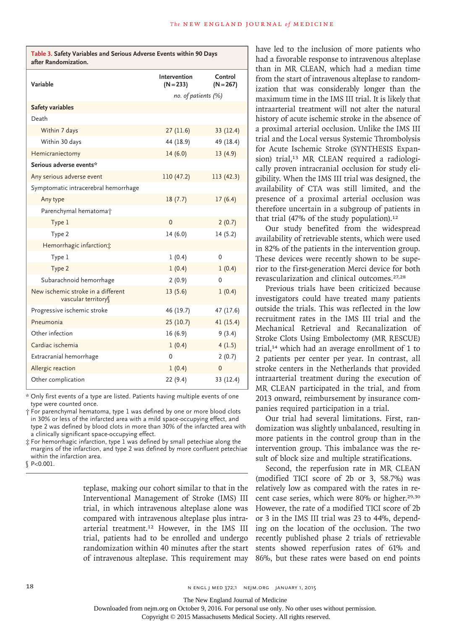| Table 3. Safety Variables and Serious Adverse Events within 90 Days<br>after Randomization. |                                    |                        |  |  |
|---------------------------------------------------------------------------------------------|------------------------------------|------------------------|--|--|
| Variable                                                                                    | <b>Intervention</b><br>$(N = 233)$ | Control<br>$(N = 267)$ |  |  |
|                                                                                             | no. of patients (%)                |                        |  |  |
| Safety variables                                                                            |                                    |                        |  |  |
| Death                                                                                       |                                    |                        |  |  |
| Within 7 days                                                                               | 27(11.6)                           | 33(12.4)               |  |  |
| Within 30 days                                                                              | 44 (18.9)                          | 49 (18.4)              |  |  |
| Hemicraniectomy                                                                             | 14(6.0)                            | 13(4.9)                |  |  |
| Serious adverse events*                                                                     |                                    |                        |  |  |
| Any serious adverse event                                                                   | 110 (47.2)                         | 113(42.3)              |  |  |
| Symptomatic intracerebral hemorrhage                                                        |                                    |                        |  |  |
| Any type                                                                                    | 18(7.7)                            | 17(6.4)                |  |  |
| Parenchymal hematoma <sup>+</sup>                                                           |                                    |                        |  |  |
| Type 1                                                                                      | $\mathbf 0$                        | 2(0.7)                 |  |  |
| Type 2                                                                                      | 14 (6.0)                           | 14(5.2)                |  |  |
| Hemorrhagic infarction:                                                                     |                                    |                        |  |  |
| Type 1                                                                                      | 1(0.4)                             | 0                      |  |  |
| Type 2                                                                                      | 1(0.4)                             | 1(0.4)                 |  |  |
| Subarachnoid hemorrhage                                                                     | 2(0.9)                             | 0                      |  |  |
| New ischemic stroke in a different<br>vascular territory                                    | 13(5.6)                            | 1(0.4)                 |  |  |
| Progressive ischemic stroke                                                                 | 46 (19.7)                          | 47 (17.6)              |  |  |
| Pneumonia                                                                                   | 25(10.7)                           | 41 (15.4)              |  |  |
| Other infection                                                                             | 16(6.9)                            | 9(3.4)                 |  |  |
| Cardiac ischemia                                                                            | 1(0.4)                             | 4(1.5)                 |  |  |
| Extracranial hemorrhage                                                                     | 0                                  | 2(0.7)                 |  |  |
| Allergic reaction                                                                           | 1(0.4)                             | $\mathbf{0}$           |  |  |
| Other complication                                                                          | 22 (9.4)                           | 33 (12.4)              |  |  |

\* Only first events of a type are listed. Patients having multiple events of one type were counted once.

† For parenchymal hematoma, type 1 was defined by one or more blood clots in 30% or less of the infarcted area with a mild space-occupying effect, and type 2 was defined by blood clots in more than 30% of the infarcted area with a clinically significant space-occupying effect.

‡ For hemorrhagic infarction, type 1 was defined by small petechiae along the margins of the infarction, and type 2 was defined by more confluent petechiae within the infarction area.

§ P<0.001.

teplase, making our cohort similar to that in the Interventional Management of Stroke (IMS) III trial, in which intravenous alteplase alone was compared with intravenous alteplase plus intraarterial treatment.12 However, in the IMS III trial, patients had to be enrolled and undergo randomization within 40 minutes after the start of intravenous alteplase. This requirement may have led to the inclusion of more patients who had a favorable response to intravenous alteplase than in MR CLEAN, which had a median time from the start of intravenous alteplase to randomization that was considerably longer than the maximum time in the IMS III trial. It is likely that intraarterial treatment will not alter the natural history of acute ischemic stroke in the absence of a proximal arterial occlusion. Unlike the IMS III trial and the Local versus Systemic Thrombolysis for Acute Ischemic Stroke (SYNTHESIS Expansion) trial,<sup>13</sup> MR CLEAN required a radiologically proven intracranial occlusion for study eligibility. When the IMS III trial was designed, the availability of CTA was still limited, and the presence of a proximal arterial occlusion was therefore uncertain in a subgroup of patients in that trial (47% of the study population). $12$ 

Our study benefited from the widespread availability of retrievable stents, which were used in 82% of the patients in the intervention group. These devices were recently shown to be superior to the first-generation Merci device for both revascularization and clinical outcomes.27,28

Previous trials have been criticized because investigators could have treated many patients outside the trials. This was reflected in the low recruitment rates in the IMS III trial and the Mechanical Retrieval and Recanalization of Stroke Clots Using Embolectomy (MR RESCUE) trial,14 which had an average enrollment of 1 to 2 patients per center per year. In contrast, all stroke centers in the Netherlands that provided intraarterial treatment during the execution of MR CLEAN participated in the trial, and from 2013 onward, reimbursement by insurance companies required participation in a trial.

Our trial had several limitations. First, randomization was slightly unbalanced, resulting in more patients in the control group than in the intervention group. This imbalance was the result of block size and multiple stratifications.

Second, the reperfusion rate in MR CLEAN (modified TICI score of 2b or 3, 58.7%) was relatively low as compared with the rates in recent case series, which were 80% or higher.<sup>29,30</sup> However, the rate of a modified TICI score of 2b or 3 in the IMS III trial was 23 to 44%, depending on the location of the occlusion. The two recently published phase 2 trials of retrievable stents showed reperfusion rates of 61% and 86%, but these rates were based on end points

18 **18** n engl j med 372;1 nejm.org january 1, 2015

The New England Journal of Medicine

Downloaded from nejm.org on October 9, 2016. For personal use only. No other uses without permission.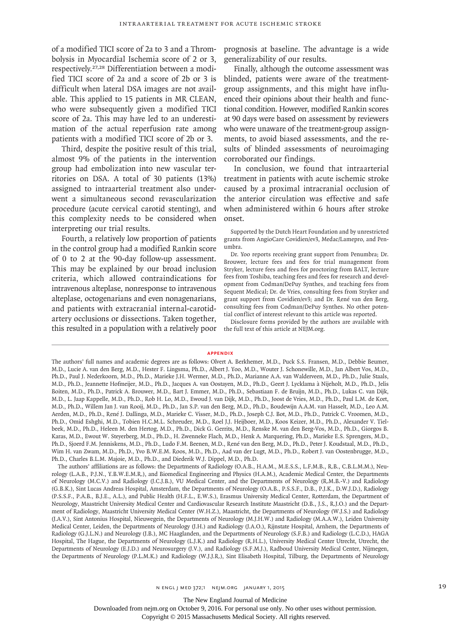of a modified TICI score of 2a to 3 and a Thrombolysis in Myocardial Ischemia score of 2 or 3, respectively.27,28 Differentiation between a modified TICI score of 2a and a score of 2b or 3 is difficult when lateral DSA images are not available. This applied to 15 patients in MR CLEAN, who were subsequently given a modified TICI score of 2a. This may have led to an underestimation of the actual reperfusion rate among patients with a modified TICI score of 2b or 3.

Third, despite the positive result of this trial, almost 9% of the patients in the intervention group had embolization into new vascular territories on DSA. A total of 30 patients (13%) assigned to intraarterial treatment also underwent a simultaneous second revascularization procedure (acute cervical carotid stenting), and this complexity needs to be considered when interpreting our trial results.

Fourth, a relatively low proportion of patients in the control group had a modified Rankin score of 0 to 2 at the 90-day follow-up assessment. This may be explained by our broad inclusion criteria, which allowed contraindications for intravenous alteplase, nonresponse to intravenous alteplase, octogenarians and even nonagenarians, and patients with extracranial internal-carotidartery occlusions or dissections. Taken together, this resulted in a population with a relatively poor prognosis at baseline. The advantage is a wide generalizability of our results.

Finally, although the outcome assessment was blinded, patients were aware of the treatmentgroup assignments, and this might have influenced their opinions about their health and functional condition. However, modified Rankin scores at 90 days were based on assessment by reviewers who were unaware of the treatment-group assignments, to avoid biased assessments, and the results of blinded assessments of neuroimaging corroborated our findings.

In conclusion, we found that intraarterial treatment in patients with acute ischemic stroke caused by a proximal intracranial occlusion of the anterior circulation was effective and safe when administered within 6 hours after stroke onset.

Supported by the Dutch Heart Foundation and by unrestricted grants from AngioCare Covidien/ev3, Medac/Lamepro, and Penumbra.

Dr. Yoo reports receiving grant support from Penumbra; Dr. Brouwer, lecture fees and fees for trial management from Stryker, lecture fees and fees for proctoring from BALT, lecture fees from Toshiba, teaching fees and fees for research and development from Codman/DePuy Synthes, and teaching fees from Sequent Medical; Dr. de Vries, consulting fees from Stryker and grant support from Covidien/ev3; and Dr. René van den Berg, consulting fees from Codman/DePuy Synthes. No other potential conflict of interest relevant to this article was reported.

Disclosure forms provided by the authors are available with the full text of this article at NEJM.org.

#### **Appendix**

The authors' affiliations are as follows: the Departments of Radiology (O.A.B., H.A.M., M.E.S.S., L.F.M.B., R.B., C.B.L.M.M.), Neurology (L.A.B., P.J.N., Y.B.W.E.M.R.), and Biomedical Engineering and Physics (H.A.M.), Academic Medical Center, the Departments of Neurology (M.C.V.) and Radiology (J.C.J.B.), VU Medical Center, and the Departments of Neurology (R.M.B.-V.) and Radiology (G.B.K.), Sint Lucas Andreas Hospital, Amsterdam, the Departments of Neurology (O.A.B., P.S.S.F., D.B., P.J.K., D.W.J.D.), Radiology (P.S.S.F., P.A.B., B.J.E., A.L.), and Public Health (H.F.L., E.W.S.), Erasmus University Medical Center, Rotterdam, the Department of Neurology, Maastricht University Medical Center and Cardiovascular Research Institute Maastricht (D.B., J.S., R.J.O.) and the Department of Radiology, Maastricht University Medical Center (W.H.Z.), Maastricht, the Departments of Neurology (W.J.S.) and Radiology (J.A.V.), Sint Antonius Hospital, Nieuwegein, the Departments of Neurology (M.J.H.W.) and Radiology (M.A.A.W.), Leiden University Medical Center, Leiden, the Departments of Neurology (J.H.) and Radiology (J.A.O.), Rijnstate Hospital, Arnhem, the Departments of Radiology (G.J.L.N.) and Neurology (J.B.), MC Haaglanden, and the Departments of Neurology (S.F.B.) and Radiology (L.C.D.), HAGA Hospital, The Hague, the Departments of Neurology (L.J.K.) and Radiology (R.H.L.), University Medical Center Utrecht, Utrecht, the Departments of Neurology (E.J.D.) and Neurosurgery (J.V.), and Radiology (S.F.M.J.), Radboud University Medical Center, Nijmegen, the Departments of Neurology (P.L.M.K.) and Radiology (W.J.J.R.), Sint Elisabeth Hospital, Tilburg, the Departments of Neurology

The New England Journal of Medicine

Downloaded from nejm.org on October 9, 2016. For personal use only. No other uses without permission.

The authors' full names and academic degrees are as follows: Olvert A. Berkhemer, M.D., Puck S.S. Fransen, M.D., Debbie Beumer, M.D., Lucie A. van den Berg, M.D., Hester F. Lingsma, Ph.D., Albert J. Yoo, M.D., Wouter J. Schonewille, M.D., Jan Albert Vos, M.D., Ph.D., Paul J. Nederkoorn, M.D., Ph.D., Marieke J.H. Wermer, M.D., Ph.D., Marianne A.A. van Walderveen, M.D., Ph.D., Julie Staals, M.D., Ph.D., Jeannette Hofmeijer, M.D., Ph.D., Jacques A. van Oostayen, M.D., Ph.D., Geert J. Lycklama à Nijeholt, M.D., Ph.D., Jelis Boiten, M.D., Ph.D., Patrick A. Brouwer, M.D., Bart J. Emmer, M.D., Ph.D., Sebastiaan F. de Bruijn, M.D., Ph.D., Lukas C. van Dijk, M.D., L. Jaap Kappelle, M.D., Ph.D., Rob H. Lo, M.D., Ewoud J. van Dijk, M.D., Ph.D., Joost de Vries, M.D., Ph.D., Paul L.M. de Kort, M.D., Ph.D., Willem Jan J. van Rooij, M.D., Ph.D., Jan S.P. van den Berg, M.D., Ph.D., Boudewijn A.A.M. van Hasselt, M.D., Leo A.M. Aerden, M.D., Ph.D., René J. Dallinga, M.D., Marieke C. Visser, M.D., Ph.D., Joseph C.J. Bot, M.D., Ph.D., Patrick C. Vroomen, M.D., Ph.D., Omid Eshghi, M.D., Tobien H.C.M.L. Schreuder, M.D., Roel J.J. Heijboer, M.D., Koos Keizer, M.D., Ph.D., Alexander V. Tielbeek, M.D., Ph.D., Heleen M. den Hertog, M.D., Ph.D., Dick G. Gerrits, M.D., Renske M. van den Berg-Vos, M.D., Ph.D., Giorgos B. Karas, M.D., Ewout W. Steyerberg, M.D., Ph.D., H. Zwenneke Flach, M.D., Henk A. Marquering, Ph.D., Marieke E.S. Sprengers, M.D., Ph.D., Sjoerd F.M. Jenniskens, M.D., Ph.D., Ludo F.M. Beenen, M.D., René van den Berg, M.D., Ph.D., Peter J. Koudstaal, M.D., Ph.D., Wim H. van Zwam, M.D., Ph.D., Yvo B.W.E.M. Roos, M.D., Ph.D., Aad van der Lugt, M.D., Ph.D., Robert J. van Oostenbrugge, M.D., Ph.D., Charles B.L.M. Majoie, M.D., Ph.D., and Diederik W.J. Dippel, M.D., Ph.D.